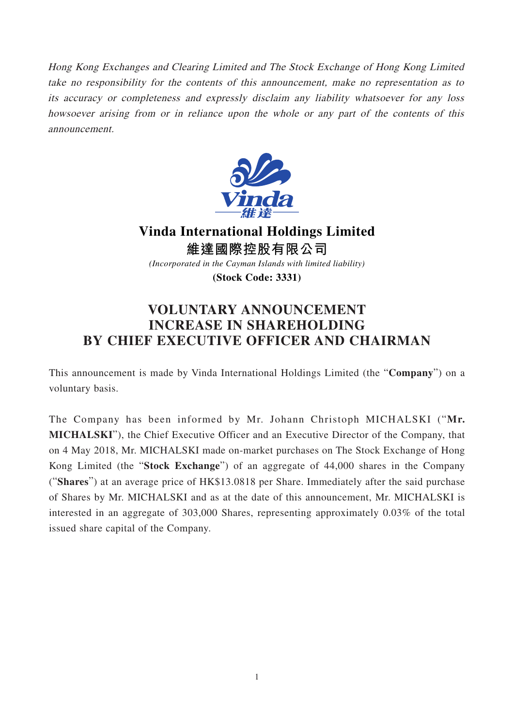Hong Kong Exchanges and Clearing Limited and The Stock Exchange of Hong Kong Limited take no responsibility for the contents of this announcement, make no representation as to its accuracy or completeness and expressly disclaim any liability whatsoever for any loss howsoever arising from or in reliance upon the whole or any part of the contents of this announcement.



**Vinda International Holdings Limited 維達國際控股有限公司**

*(Incorporated in the Cayman Islands with limited liability)*

**(Stock Code: 3331)**

## **VOLUNTARY ANNOUNCEMENT INCREASE IN SHAREHOLDING BY CHIEF EXECUTIVE OFFICER AND CHAIRMAN**

This announcement is made by Vinda International Holdings Limited (the "**Company**") on a voluntary basis.

The Company has been informed by Mr. Johann Christoph MICHALSKI ("**Mr. MICHALSKI**"), the Chief Executive Officer and an Executive Director of the Company, that on 4 May 2018, Mr. MICHALSKI made on-market purchases on The Stock Exchange of Hong Kong Limited (the "**Stock Exchange**") of an aggregate of 44,000 shares in the Company ("**Shares**") at an average price of HK\$13.0818 per Share. Immediately after the said purchase of Shares by Mr. MICHALSKI and as at the date of this announcement, Mr. MICHALSKI is interested in an aggregate of 303,000 Shares, representing approximately 0.03% of the total issued share capital of the Company.